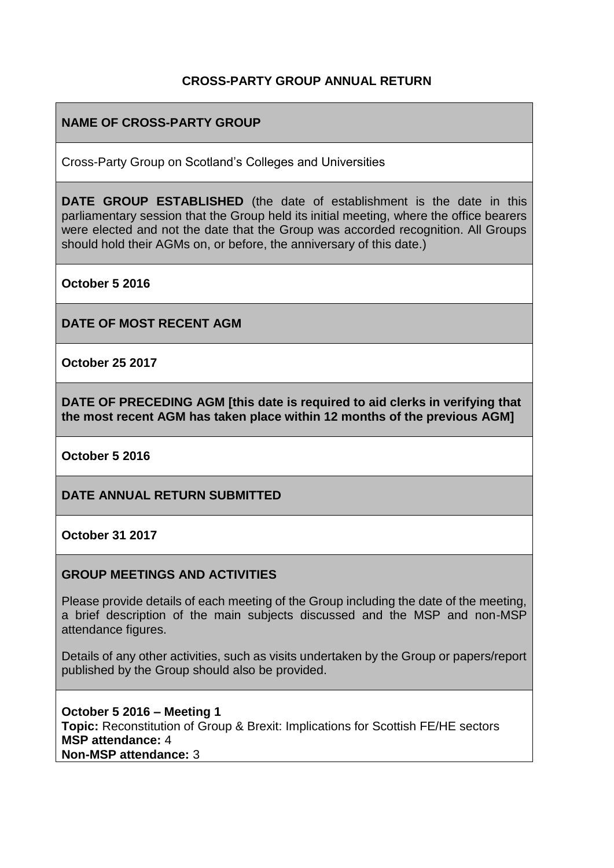### **CROSS-PARTY GROUP ANNUAL RETURN**

### **NAME OF CROSS-PARTY GROUP**

Cross-Party Group on Scotland's Colleges and Universities

**DATE GROUP ESTABLISHED** (the date of establishment is the date in this parliamentary session that the Group held its initial meeting, where the office bearers were elected and not the date that the Group was accorded recognition. All Groups should hold their AGMs on, or before, the anniversary of this date.)

**October 5 2016**

**DATE OF MOST RECENT AGM**

**October 25 2017**

**DATE OF PRECEDING AGM [this date is required to aid clerks in verifying that the most recent AGM has taken place within 12 months of the previous AGM]**

**October 5 2016**

**DATE ANNUAL RETURN SUBMITTED**

**October 31 2017**

#### **GROUP MEETINGS AND ACTIVITIES**

Please provide details of each meeting of the Group including the date of the meeting, a brief description of the main subjects discussed and the MSP and non-MSP attendance figures.

Details of any other activities, such as visits undertaken by the Group or papers/report published by the Group should also be provided.

**October 5 2016 – Meeting 1 Topic:** Reconstitution of Group & Brexit: Implications for Scottish FE/HE sectors **MSP attendance:** 4 **Non-MSP attendance:** 3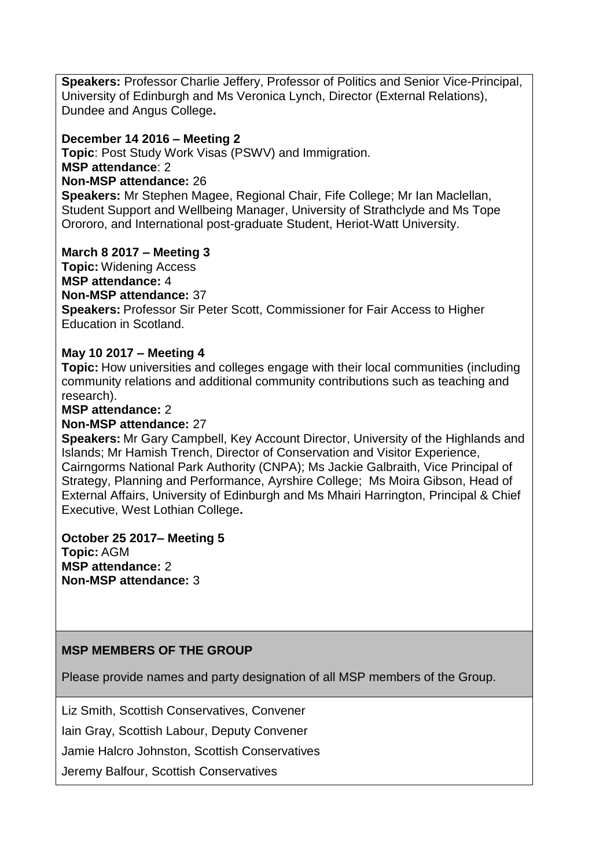**Speakers:** Professor Charlie Jeffery, Professor of Politics and Senior Vice-Principal, University of Edinburgh and Ms Veronica Lynch, Director (External Relations), Dundee and Angus College**.**

#### **December 14 2016 – Meeting 2**

**Topic**: Post Study Work Visas (PSWV) and Immigration.

#### **MSP attendance**: 2

#### **Non-MSP attendance:** 26

**Speakers:** Mr Stephen Magee, Regional Chair, Fife College; Mr Ian Maclellan, Student Support and Wellbeing Manager, University of Strathclyde and Ms Tope Orororo, and International post-graduate Student, Heriot-Watt University.

### **March 8 2017 – Meeting 3**

# **Topic:** Widening Access

# **MSP attendance:** 4

#### **Non-MSP attendance:** 37

**Speakers:** Professor Sir Peter Scott, Commissioner for Fair Access to Higher Education in Scotland.

### **May 10 2017 – Meeting 4**

**Topic:** How universities and colleges engage with their local communities (including community relations and additional community contributions such as teaching and research).

#### **MSP attendance:** 2

#### **Non-MSP attendance:** 27

**Speakers:** Mr Gary Campbell, Key Account Director, University of the Highlands and Islands; Mr Hamish Trench, Director of Conservation and Visitor Experience, Cairngorms National Park Authority (CNPA); Ms Jackie Galbraith, Vice Principal of Strategy, Planning and Performance, Ayrshire College; Ms Moira Gibson, Head of External Affairs, University of Edinburgh and Ms Mhairi Harrington, Principal & Chief Executive, West Lothian College**.**

**October 25 2017– Meeting 5 Topic:** AGM **MSP attendance:** 2 **Non-MSP attendance:** 3

# **MSP MEMBERS OF THE GROUP**

Please provide names and party designation of all MSP members of the Group.

Liz Smith, Scottish Conservatives, Convener

Iain Gray, Scottish Labour, Deputy Convener

Jamie Halcro Johnston, Scottish Conservatives

Jeremy Balfour, Scottish Conservatives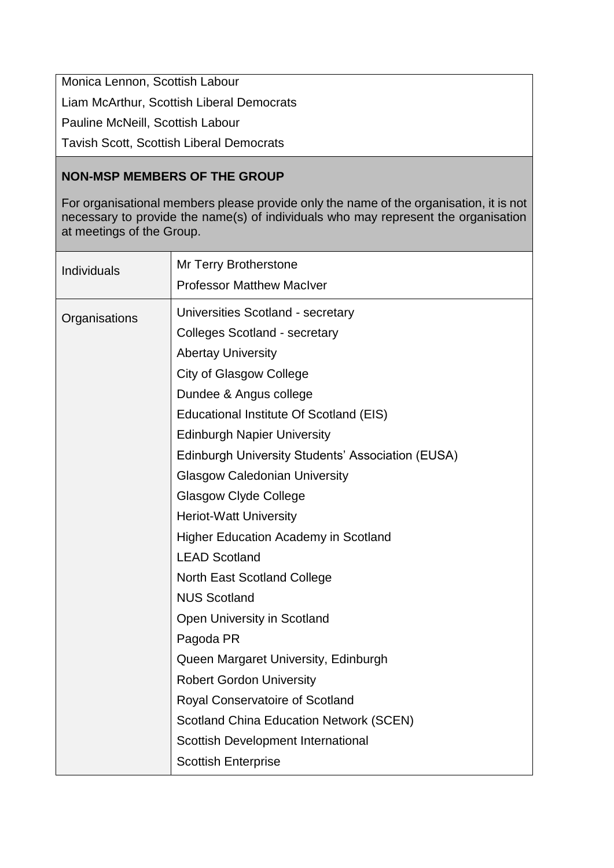Monica Lennon, Scottish Labour Liam McArthur, Scottish Liberal Democrats Pauline McNeill, Scottish Labour

Tavish Scott, Scottish Liberal Democrats

# **NON-MSP MEMBERS OF THE GROUP**

For organisational members please provide only the name of the organisation, it is not necessary to provide the name(s) of individuals who may represent the organisation at meetings of the Group.

| Individuals   | Mr Terry Brotherstone<br><b>Professor Matthew MacIver</b> |
|---------------|-----------------------------------------------------------|
|               |                                                           |
| Organisations | Universities Scotland - secretary                         |
|               | <b>Colleges Scotland - secretary</b>                      |
|               | <b>Abertay University</b>                                 |
|               | <b>City of Glasgow College</b>                            |
|               | Dundee & Angus college                                    |
|               | Educational Institute Of Scotland (EIS)                   |
|               | <b>Edinburgh Napier University</b>                        |
|               | Edinburgh University Students' Association (EUSA)         |
|               | <b>Glasgow Caledonian University</b>                      |
|               | <b>Glasgow Clyde College</b>                              |
|               | <b>Heriot-Watt University</b>                             |
|               | <b>Higher Education Academy in Scotland</b>               |
|               | <b>LEAD Scotland</b>                                      |
|               | <b>North East Scotland College</b>                        |
|               | <b>NUS Scotland</b>                                       |
|               | Open University in Scotland                               |
|               | Pagoda PR                                                 |
|               | Queen Margaret University, Edinburgh                      |
|               | <b>Robert Gordon University</b>                           |
|               | Royal Conservatoire of Scotland                           |
|               | <b>Scotland China Education Network (SCEN)</b>            |
|               | Scottish Development International                        |
|               | <b>Scottish Enterprise</b>                                |
|               |                                                           |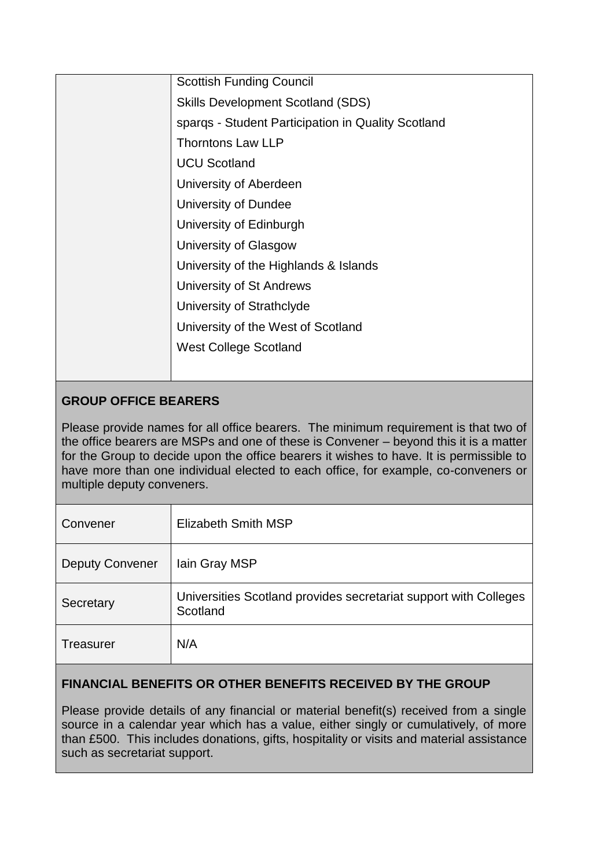| <b>Scottish Funding Council</b>          |                                                    |
|------------------------------------------|----------------------------------------------------|
| <b>Skills Development Scotland (SDS)</b> |                                                    |
|                                          | spargs - Student Participation in Quality Scotland |
| <b>Thorntons Law LLP</b>                 |                                                    |
| <b>UCU Scotland</b>                      |                                                    |
| University of Aberdeen                   |                                                    |
| University of Dundee                     |                                                    |
| University of Edinburgh                  |                                                    |
| University of Glasgow                    |                                                    |
| University of the Highlands & Islands    |                                                    |
| University of St Andrews                 |                                                    |
| University of Strathclyde                |                                                    |
| University of the West of Scotland       |                                                    |
| <b>West College Scotland</b>             |                                                    |
|                                          |                                                    |
|                                          |                                                    |

# **GROUP OFFICE BEARERS**

Please provide names for all office bearers. The minimum requirement is that two of the office bearers are MSPs and one of these is Convener – beyond this it is a matter for the Group to decide upon the office bearers it wishes to have. It is permissible to have more than one individual elected to each office, for example, co-conveners or multiple deputy conveners.

| Convener               | Elizabeth Smith MSP                                                          |
|------------------------|------------------------------------------------------------------------------|
| <b>Deputy Convener</b> | lain Gray MSP                                                                |
| Secretary              | Universities Scotland provides secretariat support with Colleges<br>Scotland |
| <b>Treasurer</b>       | N/A                                                                          |

# **FINANCIAL BENEFITS OR OTHER BENEFITS RECEIVED BY THE GROUP**

Please provide details of any financial or material benefit(s) received from a single source in a calendar year which has a value, either singly or cumulatively, of more than £500. This includes donations, gifts, hospitality or visits and material assistance such as secretariat support.